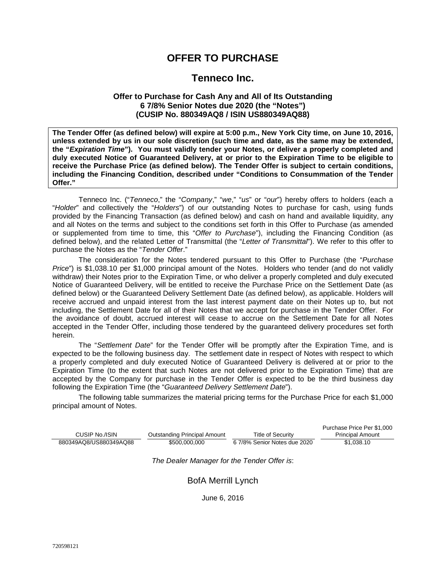# **OFFER TO PURCHASE**

# **Tenneco Inc.**

## **Offer to Purchase for Cash Any and All of Its Outstanding 6 7/8% Senior Notes due 2020 (the "Notes") (CUSIP No. 880349AQ8 / ISIN US880349AQ88)**

**The Tender Offer (as defined below) will expire at 5:00 p.m., New York City time, on June 10, 2016, unless extended by us in our sole discretion (such time and date, as the same may be extended, the "***Expiration Time***"). You must validly tender your Notes, or deliver a properly completed and duly executed Notice of Guaranteed Delivery, at or prior to the Expiration Time to be eligible to receive the Purchase Price (as defined below). The Tender Offer is subject to certain conditions, including the Financing Condition, described under "Conditions to Consummation of the Tender Offer."**

Tenneco Inc. ("*Tenneco*," the "*Company*," "*we*," "*us*" or "*our*") hereby offers to holders (each a "*Holder*" and collectively the "*Holders*") of our outstanding Notes to purchase for cash, using funds provided by the Financing Transaction (as defined below) and cash on hand and available liquidity, any and all Notes on the terms and subject to the conditions set forth in this Offer to Purchase (as amended or supplemented from time to time, this "*Offer to Purchase*"), including the Financing Condition (as defined below), and the related Letter of Transmittal (the "*Letter of Transmittal*"). We refer to this offer to purchase the Notes as the "*Tender Offer*."

The consideration for the Notes tendered pursuant to this Offer to Purchase (the "*Purchase Price*") is \$1,038.10 per \$1,000 principal amount of the Notes. Holders who tender (and do not validly withdraw) their Notes prior to the Expiration Time, or who deliver a properly completed and duly executed Notice of Guaranteed Delivery, will be entitled to receive the Purchase Price on the Settlement Date (as defined below) or the Guaranteed Delivery Settlement Date (as defined below), as applicable. Holders will receive accrued and unpaid interest from the last interest payment date on their Notes up to, but not including, the Settlement Date for all of their Notes that we accept for purchase in the Tender Offer. For the avoidance of doubt, accrued interest will cease to accrue on the Settlement Date for all Notes accepted in the Tender Offer, including those tendered by the guaranteed delivery procedures set forth herein.

The "*Settlement Date*" for the Tender Offer will be promptly after the Expiration Time, and is expected to be the following business day. The settlement date in respect of Notes with respect to which a properly completed and duly executed Notice of Guaranteed Delivery is delivered at or prior to the Expiration Time (to the extent that such Notes are not delivered prior to the Expiration Time) that are accepted by the Company for purchase in the Tender Offer is expected to be the third business day following the Expiration Time (the "*Guaranteed Delivery Settlement Date*").

The following table summarizes the material pricing terms for the Purchase Price for each \$1,000 principal amount of Notes.

|                        |                              |                              | Purchase Price Per \$1,000 |
|------------------------|------------------------------|------------------------------|----------------------------|
| CUSIP No./ISIN         | Outstanding Principal Amount | Title of Security            | <b>Principal Amount</b>    |
| 880349AQ8/US880349AQ88 | \$500,000,000                | 6 7/8% Senior Notes due 2020 | \$1.038.10                 |

*The Dealer Manager for the Tender Offer is*:

## BofA Merrill Lynch

June 6, 2016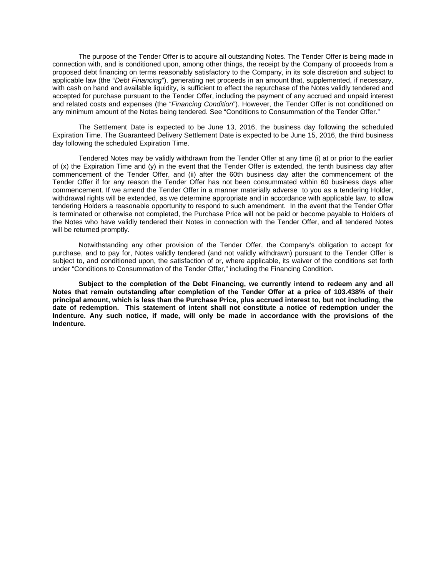The purpose of the Tender Offer is to acquire all outstanding Notes. The Tender Offer is being made in connection with, and is conditioned upon, among other things, the receipt by the Company of proceeds from a proposed debt financing on terms reasonably satisfactory to the Company, in its sole discretion and subject to applicable law (the "*Debt Financing*"), generating net proceeds in an amount that, supplemented, if necessary, with cash on hand and available liquidity, is sufficient to effect the repurchase of the Notes validly tendered and accepted for purchase pursuant to the Tender Offer, including the payment of any accrued and unpaid interest and related costs and expenses (the "*Financing Condition*"). However, the Tender Offer is not conditioned on any minimum amount of the Notes being tendered. See "Conditions to Consummation of the Tender Offer."

The Settlement Date is expected to be June 13, 2016, the business day following the scheduled Expiration Time. The Guaranteed Delivery Settlement Date is expected to be June 15, 2016, the third business day following the scheduled Expiration Time.

Tendered Notes may be validly withdrawn from the Tender Offer at any time (i) at or prior to the earlier of  $(x)$  the Expiration Time and  $(y)$  in the event that the Tender Offer is extended, the tenth business day after commencement of the Tender Offer, and (ii) after the 60th business day after the commencement of the Tender Offer if for any reason the Tender Offer has not been consummated within 60 business days after commencement. If we amend the Tender Offer in a manner materially adverse to you as a tendering Holder, withdrawal rights will be extended, as we determine appropriate and in accordance with applicable law, to allow tendering Holders a reasonable opportunity to respond to such amendment. In the event that the Tender Offer is terminated or otherwise not completed, the Purchase Price will not be paid or become payable to Holders of the Notes who have validly tendered their Notes in connection with the Tender Offer, and all tendered Notes will be returned promptly.

Notwithstanding any other provision of the Tender Offer, the Company's obligation to accept for purchase, and to pay for, Notes validly tendered (and not validly withdrawn) pursuant to the Tender Offer is subject to, and conditioned upon, the satisfaction of or, where applicable, its waiver of the conditions set forth under "Conditions to Consummation of the Tender Offer," including the Financing Condition.

**Subject to the completion of the Debt Financing, we currently intend to redeem any and all Notes that remain outstanding after completion of the Tender Offer at a price of 103.438% of their principal amount, which is less than the Purchase Price, plus accrued interest to, but not including, the date of redemption. This statement of intent shall not constitute a notice of redemption under the Indenture. Any such notice, if made, will only be made in accordance with the provisions of the Indenture.**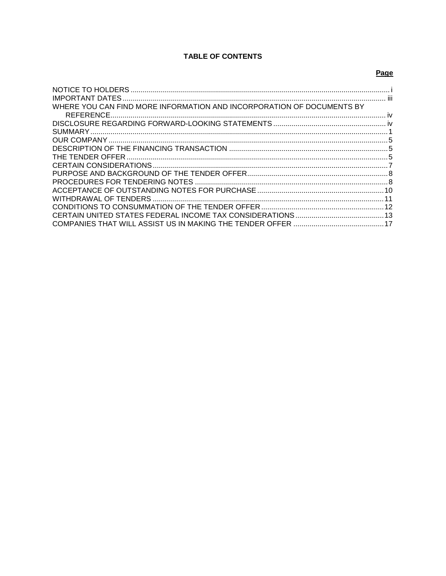# **TABLE OF CONTENTS**

# Page

| WHERE YOU CAN FIND MORE INFORMATION AND INCORPORATION OF DOCUMENTS BY |  |
|-----------------------------------------------------------------------|--|
|                                                                       |  |
|                                                                       |  |
|                                                                       |  |
|                                                                       |  |
|                                                                       |  |
|                                                                       |  |
|                                                                       |  |
|                                                                       |  |
|                                                                       |  |
|                                                                       |  |
|                                                                       |  |
|                                                                       |  |
|                                                                       |  |
|                                                                       |  |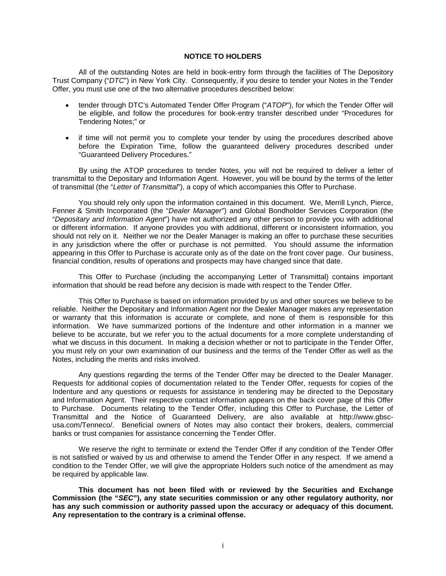## <span id="page-3-0"></span>**NOTICE TO HOLDERS**

All of the outstanding Notes are held in book-entry form through the facilities of The Depository Trust Company ("*DTC*") in New York City. Consequently, if you desire to tender your Notes in the Tender Offer, you must use one of the two alternative procedures described below:

- tender through DTC's Automated Tender Offer Program ("*ATOP*"), for which the Tender Offer will be eligible, and follow the procedures for book-entry transfer described under "Procedures for Tendering Notes;" or
- if time will not permit you to complete your tender by using the procedures described above before the Expiration Time, follow the guaranteed delivery procedures described under "Guaranteed Delivery Procedures."

By using the ATOP procedures to tender Notes, you will not be required to deliver a letter of transmittal to the Depositary and Information Agent. However, you will be bound by the terms of the letter of transmittal (the "*Letter of Transmittal*"), a copy of which accompanies this Offer to Purchase.

You should rely only upon the information contained in this document. We, Merrill Lynch, Pierce, Fenner & Smith Incorporated (the "*Dealer Manager*") and Global Bondholder Services Corporation (the "*Depositary and Information Agent*") have not authorized any other person to provide you with additional or different information. If anyone provides you with additional, different or inconsistent information, you should not rely on it. Neither we nor the Dealer Manager is making an offer to purchase these securities in any jurisdiction where the offer or purchase is not permitted. You should assume the information appearing in this Offer to Purchase is accurate only as of the date on the front cover page. Our business, financial condition, results of operations and prospects may have changed since that date.

This Offer to Purchase (including the accompanying Letter of Transmittal) contains important information that should be read before any decision is made with respect to the Tender Offer.

This Offer to Purchase is based on information provided by us and other sources we believe to be reliable. Neither the Depositary and Information Agent nor the Dealer Manager makes any representation or warranty that this information is accurate or complete, and none of them is responsible for this information. We have summarized portions of the Indenture and other information in a manner we believe to be accurate, but we refer you to the actual documents for a more complete understanding of what we discuss in this document. In making a decision whether or not to participate in the Tender Offer, you must rely on your own examination of our business and the terms of the Tender Offer as well as the Notes, including the merits and risks involved.

Any questions regarding the terms of the Tender Offer may be directed to the Dealer Manager. Requests for additional copies of documentation related to the Tender Offer, requests for copies of the Indenture and any questions or requests for assistance in tendering may be directed to the Depositary and Information Agent. Their respective contact information appears on the back cover page of this Offer to Purchase. Documents relating to the Tender Offer, including this Offer to Purchase, the Letter of Transmittal and the Notice of Guaranteed Delivery, are also available at http://www.gbscusa.com/Tenneco/. Beneficial owners of Notes may also contact their brokers, dealers, commercial banks or trust companies for assistance concerning the Tender Offer.

We reserve the right to terminate or extend the Tender Offer if any condition of the Tender Offer is not satisfied or waived by us and otherwise to amend the Tender Offer in any respect. If we amend a condition to the Tender Offer, we will give the appropriate Holders such notice of the amendment as may be required by applicable law.

**This document has not been filed with or reviewed by the Securities and Exchange Commission (the "***SEC***"), any state securities commission or any other regulatory authority, nor has any such commission or authority passed upon the accuracy or adequacy of this document. Any representation to the contrary is a criminal offense.**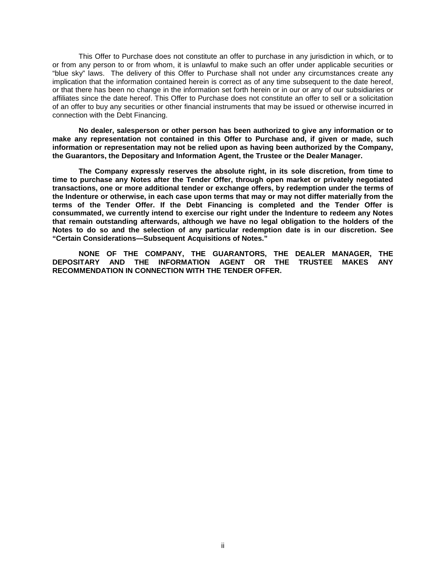This Offer to Purchase does not constitute an offer to purchase in any jurisdiction in which, or to or from any person to or from whom, it is unlawful to make such an offer under applicable securities or "blue sky" laws. The delivery of this Offer to Purchase shall not under any circumstances create any implication that the information contained herein is correct as of any time subsequent to the date hereof, or that there has been no change in the information set forth herein or in our or any of our subsidiaries or affiliates since the date hereof. This Offer to Purchase does not constitute an offer to sell or a solicitation of an offer to buy any securities or other financial instruments that may be issued or otherwise incurred in connection with the Debt Financing.

**No dealer, salesperson or other person has been authorized to give any information or to make any representation not contained in this Offer to Purchase and, if given or made, such information or representation may not be relied upon as having been authorized by the Company, the Guarantors, the Depositary and Information Agent, the Trustee or the Dealer Manager.**

**The Company expressly reserves the absolute right, in its sole discretion, from time to time to purchase any Notes after the Tender Offer, through open market or privately negotiated transactions, one or more additional tender or exchange offers, by redemption under the terms of the Indenture or otherwise, in each case upon terms that may or may not differ materially from the terms of the Tender Offer. If the Debt Financing is completed and the Tender Offer is consummated, we currently intend to exercise our right under the Indenture to redeem any Notes that remain outstanding afterwards, although we have no legal obligation to the holders of the Notes to do so and the selection of any particular redemption date is in our discretion. See "Certain Considerations—Subsequent Acquisitions of Notes."**

**NONE OF THE COMPANY, THE GUARANTORS, THE DEALER MANAGER, THE DEPOSITARY AND THE INFORMATION AGENT OR THE TRUSTEE MAKES ANY RECOMMENDATION IN CONNECTION WITH THE TENDER OFFER.**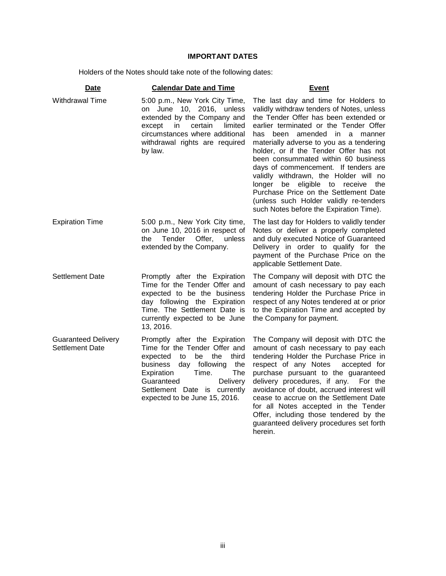# <span id="page-5-0"></span>**IMPORTANT DATES**

Holders of the Notes should take note of the following dates:

| <b>Date</b>                                   | <b>Calendar Date and Time</b>                                                                                                                                                                                                                                       | <b>Event</b>                                                                                                                                                                                                                                                                                                                                                                                                                                                                                                                                                                             |
|-----------------------------------------------|---------------------------------------------------------------------------------------------------------------------------------------------------------------------------------------------------------------------------------------------------------------------|------------------------------------------------------------------------------------------------------------------------------------------------------------------------------------------------------------------------------------------------------------------------------------------------------------------------------------------------------------------------------------------------------------------------------------------------------------------------------------------------------------------------------------------------------------------------------------------|
| Withdrawal Time                               | 5:00 p.m., New York City Time,<br>June 10, 2016, unless<br>on<br>extended by the Company and<br>limited<br>except<br>in<br>certain<br>circumstances where additional<br>withdrawal rights are required<br>by law.                                                   | The last day and time for Holders to<br>validly withdraw tenders of Notes, unless<br>the Tender Offer has been extended or<br>earlier terminated or the Tender Offer<br>has been amended in a manner<br>materially adverse to you as a tendering<br>holder, or if the Tender Offer has not<br>been consummated within 60 business<br>days of commencement. If tenders are<br>validly withdrawn, the Holder will no<br>longer be eligible to receive<br>the<br>Purchase Price on the Settlement Date<br>(unless such Holder validly re-tenders<br>such Notes before the Expiration Time). |
| <b>Expiration Time</b>                        | 5:00 p.m., New York City time,<br>on June 10, 2016 in respect of<br>Tender<br>Offer,<br>unless<br>the<br>extended by the Company.                                                                                                                                   | The last day for Holders to validly tender<br>Notes or deliver a properly completed<br>and duly executed Notice of Guaranteed<br>Delivery in order to qualify for the<br>payment of the Purchase Price on the<br>applicable Settlement Date.                                                                                                                                                                                                                                                                                                                                             |
| <b>Settlement Date</b>                        | Promptly after the Expiration<br>Time for the Tender Offer and<br>expected to be the business<br>day following the Expiration<br>Time. The Settlement Date is<br>currently expected to be June<br>13, 2016.                                                         | The Company will deposit with DTC the<br>amount of cash necessary to pay each<br>tendering Holder the Purchase Price in<br>respect of any Notes tendered at or prior<br>to the Expiration Time and accepted by<br>the Company for payment.                                                                                                                                                                                                                                                                                                                                               |
| <b>Guaranteed Delivery</b><br>Settlement Date | Promptly after the Expiration<br>Time for the Tender Offer and<br>expected<br>be<br>the<br>third<br>to<br>day following<br>business<br>the<br>The<br>Time.<br>Expiration<br>Guaranteed<br>Delivery<br>Settlement Date is currently<br>expected to be June 15, 2016. | The Company will deposit with DTC the<br>amount of cash necessary to pay each<br>tendering Holder the Purchase Price in<br>respect of any Notes<br>accepted for<br>purchase pursuant to the guaranteed<br>delivery procedures, if any. For the<br>avoidance of doubt, accrued interest will<br>cease to accrue on the Settlement Date<br>for all Notes accepted in the Tender<br>Offer, including those tendered by the<br>guaranteed delivery procedures set forth<br>herein.                                                                                                           |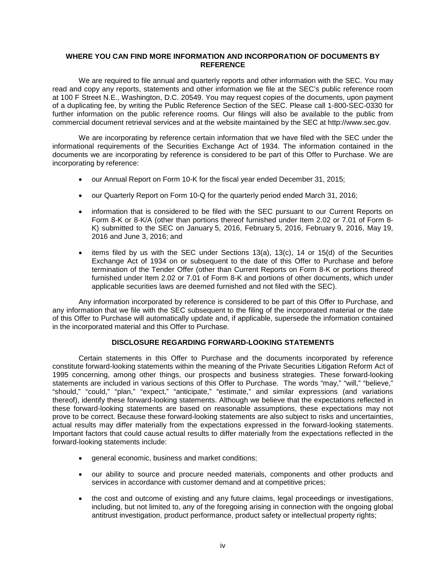## <span id="page-6-0"></span>**WHERE YOU CAN FIND MORE INFORMATION AND INCORPORATION OF DOCUMENTS BY REFERENCE**

We are required to file annual and quarterly reports and other information with the SEC. You may read and copy any reports, statements and other information we file at the SEC's public reference room at 100 F Street N.E., Washington, D.C. 20549. You may request copies of the documents, upon payment of a duplicating fee, by writing the Public Reference Section of the SEC. Please call 1-800-SEC-0330 for further information on the public reference rooms. Our filings will also be available to the public from commercial document retrieval services and at the website maintained by the SEC at http://www.sec.gov.

We are incorporating by reference certain information that we have filed with the SEC under the informational requirements of the Securities Exchange Act of 1934. The information contained in the documents we are incorporating by reference is considered to be part of this Offer to Purchase. We are incorporating by reference:

- our Annual Report on Form 10-K for the fiscal year ended December 31, 2015;
- our Quarterly Report on Form 10-Q for the quarterly period ended March 31, 2016;
- information that is considered to be filed with the SEC pursuant to our Current Reports on Form 8-K or 8-K/A (other than portions thereof furnished under Item 2.02 or 7.01 of Form 8- K) submitted to the SEC on January 5, 2016, February 5, 2016, February 9, 2016, May 19, 2016 and June 3, 2016; and
- items filed by us with the SEC under Sections  $13(a)$ ,  $13(c)$ ,  $14$  or  $15(d)$  of the Securities Exchange Act of 1934 on or subsequent to the date of this Offer to Purchase and before termination of the Tender Offer (other than Current Reports on Form 8-K or portions thereof furnished under Item 2.02 or 7.01 of Form 8-K and portions of other documents, which under applicable securities laws are deemed furnished and not filed with the SEC).

Any information incorporated by reference is considered to be part of this Offer to Purchase, and any information that we file with the SEC subsequent to the filing of the incorporated material or the date of this Offer to Purchase will automatically update and, if applicable, supersede the information contained in the incorporated material and this Offer to Purchase.

## <span id="page-6-1"></span>**DISCLOSURE REGARDING FORWARD-LOOKING STATEMENTS**

Certain statements in this Offer to Purchase and the documents incorporated by reference constitute forward-looking statements within the meaning of the Private Securities Litigation Reform Act of 1995 concerning, among other things, our prospects and business strategies. These forward-looking statements are included in various sections of this Offer to Purchase. The words "may," "will," "believe," "should," "could," "plan," "expect," "anticipate," "estimate," and similar expressions (and variations thereof), identify these forward-looking statements. Although we believe that the expectations reflected in these forward-looking statements are based on reasonable assumptions, these expectations may not prove to be correct. Because these forward-looking statements are also subject to risks and uncertainties, actual results may differ materially from the expectations expressed in the forward-looking statements. Important factors that could cause actual results to differ materially from the expectations reflected in the forward-looking statements include:

- general economic, business and market conditions;
- our ability to source and procure needed materials, components and other products and services in accordance with customer demand and at competitive prices;
- the cost and outcome of existing and any future claims, legal proceedings or investigations, including, but not limited to, any of the foregoing arising in connection with the ongoing global antitrust investigation, product performance, product safety or intellectual property rights;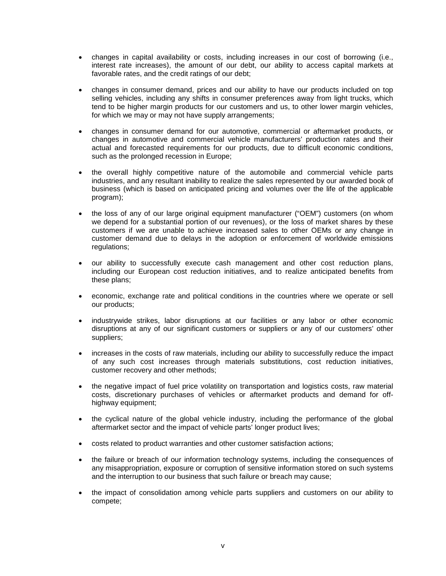- changes in capital availability or costs, including increases in our cost of borrowing (i.e., interest rate increases), the amount of our debt, our ability to access capital markets at favorable rates, and the credit ratings of our debt;
- changes in consumer demand, prices and our ability to have our products included on top selling vehicles, including any shifts in consumer preferences away from light trucks, which tend to be higher margin products for our customers and us, to other lower margin vehicles, for which we may or may not have supply arrangements;
- changes in consumer demand for our automotive, commercial or aftermarket products, or changes in automotive and commercial vehicle manufacturers' production rates and their actual and forecasted requirements for our products, due to difficult economic conditions, such as the prolonged recession in Europe;
- the overall highly competitive nature of the automobile and commercial vehicle parts industries, and any resultant inability to realize the sales represented by our awarded book of business (which is based on anticipated pricing and volumes over the life of the applicable program);
- the loss of any of our large original equipment manufacturer ("OEM") customers (on whom we depend for a substantial portion of our revenues), or the loss of market shares by these customers if we are unable to achieve increased sales to other OEMs or any change in customer demand due to delays in the adoption or enforcement of worldwide emissions regulations;
- our ability to successfully execute cash management and other cost reduction plans, including our European cost reduction initiatives, and to realize anticipated benefits from these plans;
- economic, exchange rate and political conditions in the countries where we operate or sell our products;
- industrywide strikes, labor disruptions at our facilities or any labor or other economic disruptions at any of our significant customers or suppliers or any of our customers' other suppliers;
- increases in the costs of raw materials, including our ability to successfully reduce the impact of any such cost increases through materials substitutions, cost reduction initiatives, customer recovery and other methods;
- the negative impact of fuel price volatility on transportation and logistics costs, raw material costs, discretionary purchases of vehicles or aftermarket products and demand for offhighway equipment;
- the cyclical nature of the global vehicle industry, including the performance of the global aftermarket sector and the impact of vehicle parts' longer product lives;
- costs related to product warranties and other customer satisfaction actions;
- the failure or breach of our information technology systems, including the consequences of any misappropriation, exposure or corruption of sensitive information stored on such systems and the interruption to our business that such failure or breach may cause;
- the impact of consolidation among vehicle parts suppliers and customers on our ability to compete;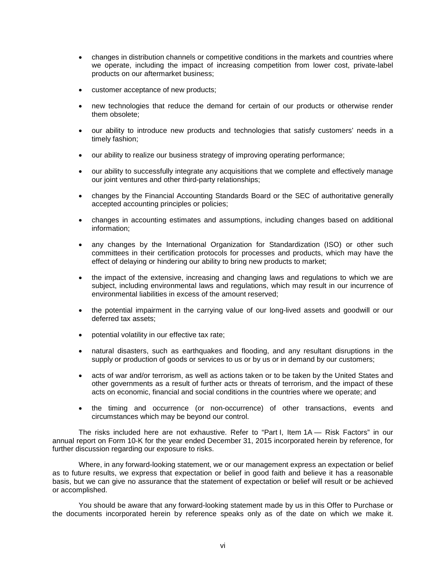- changes in distribution channels or competitive conditions in the markets and countries where we operate, including the impact of increasing competition from lower cost, private-label products on our aftermarket business;
- customer acceptance of new products;
- new technologies that reduce the demand for certain of our products or otherwise render them obsolete;
- our ability to introduce new products and technologies that satisfy customers' needs in a timely fashion;
- our ability to realize our business strategy of improving operating performance;
- our ability to successfully integrate any acquisitions that we complete and effectively manage our joint ventures and other third-party relationships;
- changes by the Financial Accounting Standards Board or the SEC of authoritative generally accepted accounting principles or policies;
- changes in accounting estimates and assumptions, including changes based on additional information;
- any changes by the International Organization for Standardization (ISO) or other such committees in their certification protocols for processes and products, which may have the effect of delaying or hindering our ability to bring new products to market;
- the impact of the extensive, increasing and changing laws and regulations to which we are subject, including environmental laws and regulations, which may result in our incurrence of environmental liabilities in excess of the amount reserved;
- the potential impairment in the carrying value of our long-lived assets and goodwill or our deferred tax assets;
- potential volatility in our effective tax rate;
- natural disasters, such as earthquakes and flooding, and any resultant disruptions in the supply or production of goods or services to us or by us or in demand by our customers;
- acts of war and/or terrorism, as well as actions taken or to be taken by the United States and other governments as a result of further acts or threats of terrorism, and the impact of these acts on economic, financial and social conditions in the countries where we operate; and
- the timing and occurrence (or non-occurrence) of other transactions, events and circumstances which may be beyond our control.

The risks included here are not exhaustive. Refer to "Part I, Item 1A — Risk Factors" in our annual report on Form 10-K for the year ended December 31, 2015 incorporated herein by reference, for further discussion regarding our exposure to risks.

Where, in any forward-looking statement, we or our management express an expectation or belief as to future results, we express that expectation or belief in good faith and believe it has a reasonable basis, but we can give no assurance that the statement of expectation or belief will result or be achieved or accomplished.

You should be aware that any forward-looking statement made by us in this Offer to Purchase or the documents incorporated herein by reference speaks only as of the date on which we make it.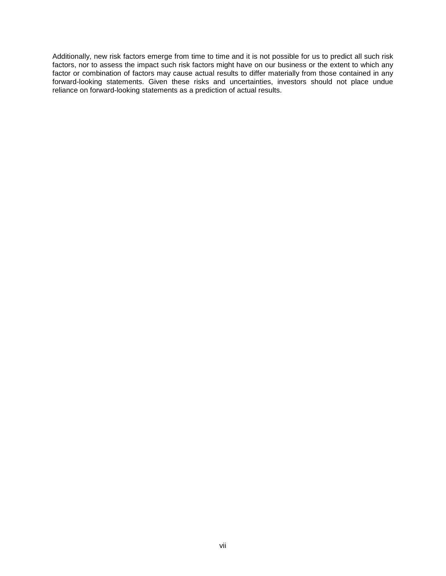Additionally, new risk factors emerge from time to time and it is not possible for us to predict all such risk factors, nor to assess the impact such risk factors might have on our business or the extent to which any factor or combination of factors may cause actual results to differ materially from those contained in any forward-looking statements. Given these risks and uncertainties, investors should not place undue reliance on forward-looking statements as a prediction of actual results.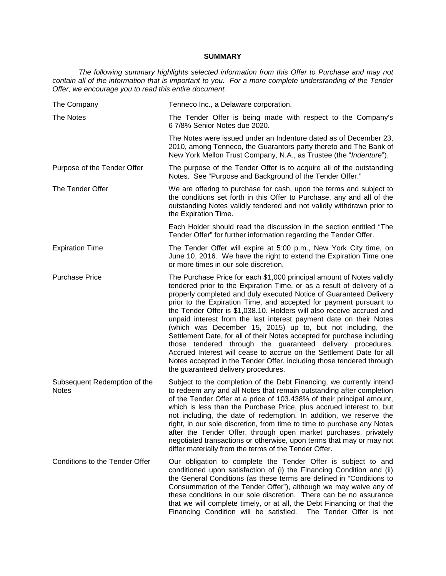## <span id="page-10-0"></span>**SUMMARY**

*The following summary highlights selected information from this Offer to Purchase and may not contain all of the information that is important to you. For a more complete understanding of the Tender Offer, we encourage you to read this entire document.*

| The Company                                  | Tenneco Inc., a Delaware corporation.                                                                                                                                                                                                                                                                                                                                                                                                                                                                                                                                                                                                                                                                                                                                                                                                     |
|----------------------------------------------|-------------------------------------------------------------------------------------------------------------------------------------------------------------------------------------------------------------------------------------------------------------------------------------------------------------------------------------------------------------------------------------------------------------------------------------------------------------------------------------------------------------------------------------------------------------------------------------------------------------------------------------------------------------------------------------------------------------------------------------------------------------------------------------------------------------------------------------------|
| The Notes                                    | The Tender Offer is being made with respect to the Company's<br>6 7/8% Senior Notes due 2020.                                                                                                                                                                                                                                                                                                                                                                                                                                                                                                                                                                                                                                                                                                                                             |
|                                              | The Notes were issued under an Indenture dated as of December 23,<br>2010, among Tenneco, the Guarantors party thereto and The Bank of<br>New York Mellon Trust Company, N.A., as Trustee (the "Indenture").                                                                                                                                                                                                                                                                                                                                                                                                                                                                                                                                                                                                                              |
| Purpose of the Tender Offer                  | The purpose of the Tender Offer is to acquire all of the outstanding<br>Notes. See "Purpose and Background of the Tender Offer."                                                                                                                                                                                                                                                                                                                                                                                                                                                                                                                                                                                                                                                                                                          |
| The Tender Offer                             | We are offering to purchase for cash, upon the terms and subject to<br>the conditions set forth in this Offer to Purchase, any and all of the<br>outstanding Notes validly tendered and not validly withdrawn prior to<br>the Expiration Time.                                                                                                                                                                                                                                                                                                                                                                                                                                                                                                                                                                                            |
|                                              | Each Holder should read the discussion in the section entitled "The<br>Tender Offer" for further information regarding the Tender Offer.                                                                                                                                                                                                                                                                                                                                                                                                                                                                                                                                                                                                                                                                                                  |
| <b>Expiration Time</b>                       | The Tender Offer will expire at 5:00 p.m., New York City time, on<br>June 10, 2016. We have the right to extend the Expiration Time one<br>or more times in our sole discretion.                                                                                                                                                                                                                                                                                                                                                                                                                                                                                                                                                                                                                                                          |
| <b>Purchase Price</b>                        | The Purchase Price for each \$1,000 principal amount of Notes validly<br>tendered prior to the Expiration Time, or as a result of delivery of a<br>properly completed and duly executed Notice of Guaranteed Delivery<br>prior to the Expiration Time, and accepted for payment pursuant to<br>the Tender Offer is \$1,038.10. Holders will also receive accrued and<br>unpaid interest from the last interest payment date on their Notes<br>(which was December 15, 2015) up to, but not including, the<br>Settlement Date, for all of their Notes accepted for purchase including<br>those tendered through the guaranteed delivery procedures.<br>Accrued Interest will cease to accrue on the Settlement Date for all<br>Notes accepted in the Tender Offer, including those tendered through<br>the guaranteed delivery procedures. |
| Subsequent Redemption of the<br><b>Notes</b> | Subject to the completion of the Debt Financing, we currently intend<br>to redeem any and all Notes that remain outstanding after completion<br>of the Tender Offer at a price of 103.438% of their principal amount,<br>which is less than the Purchase Price, plus accrued interest to, but<br>not including, the date of redemption. In addition, we reserve the<br>right, in our sole discretion, from time to time to purchase any Notes<br>after the Tender Offer, through open market purchases, privately<br>negotiated transactions or otherwise, upon terms that may or may not<br>differ materially from the terms of the Tender Offer.                                                                                                                                                                                        |
| Conditions to the Tender Offer               | Our obligation to complete the Tender Offer is subject to and<br>conditioned upon satisfaction of (i) the Financing Condition and (ii)<br>the General Conditions (as these terms are defined in "Conditions to<br>Consummation of the Tender Offer"), although we may waive any of<br>these conditions in our sole discretion. There can be no assurance<br>that we will complete timely, or at all, the Debt Financing or that the<br>Financing Condition will be satisfied. The Tender Offer is not                                                                                                                                                                                                                                                                                                                                     |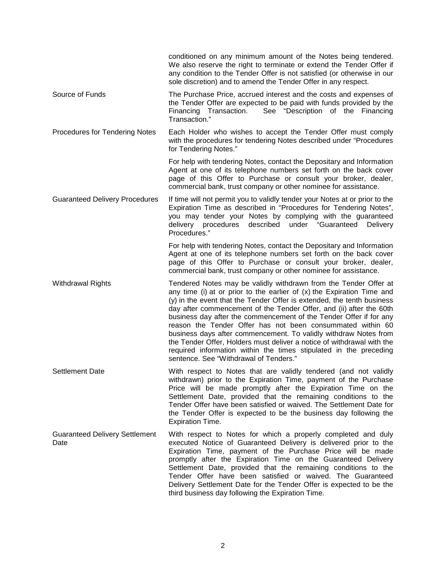|                                               | conditioned on any minimum amount of the Notes being tendered.<br>We also reserve the right to terminate or extend the Tender Offer if<br>any condition to the Tender Offer is not satisfied (or otherwise in our<br>sole discretion) and to amend the Tender Offer in any respect.                                                                                                                                                                                                                                                                                                                                                                                                          |
|-----------------------------------------------|----------------------------------------------------------------------------------------------------------------------------------------------------------------------------------------------------------------------------------------------------------------------------------------------------------------------------------------------------------------------------------------------------------------------------------------------------------------------------------------------------------------------------------------------------------------------------------------------------------------------------------------------------------------------------------------------|
| Source of Funds                               | The Purchase Price, accrued interest and the costs and expenses of<br>the Tender Offer are expected to be paid with funds provided by the<br>Financing Transaction. See "Description of the Financing<br>Transaction."                                                                                                                                                                                                                                                                                                                                                                                                                                                                       |
| Procedures for Tendering Notes                | Each Holder who wishes to accept the Tender Offer must comply<br>with the procedures for tendering Notes described under "Procedures<br>for Tendering Notes."                                                                                                                                                                                                                                                                                                                                                                                                                                                                                                                                |
|                                               | For help with tendering Notes, contact the Depositary and Information<br>Agent at one of its telephone numbers set forth on the back cover<br>page of this Offer to Purchase or consult your broker, dealer,<br>commercial bank, trust company or other nominee for assistance.                                                                                                                                                                                                                                                                                                                                                                                                              |
| <b>Guaranteed Delivery Procedures</b>         | If time will not permit you to validly tender your Notes at or prior to the<br>Expiration Time as described in "Procedures for Tendering Notes",<br>you may tender your Notes by complying with the guaranteed<br>delivery procedures described under "Guaranteed Delivery<br>Procedures."                                                                                                                                                                                                                                                                                                                                                                                                   |
|                                               | For help with tendering Notes, contact the Depositary and Information<br>Agent at one of its telephone numbers set forth on the back cover<br>page of this Offer to Purchase or consult your broker, dealer,<br>commercial bank, trust company or other nominee for assistance.                                                                                                                                                                                                                                                                                                                                                                                                              |
| <b>Withdrawal Rights</b>                      | Tendered Notes may be validly withdrawn from the Tender Offer at<br>any time (i) at or prior to the earlier of (x) the Expiration Time and<br>(y) in the event that the Tender Offer is extended, the tenth business<br>day after commencement of the Tender Offer, and (ii) after the 60th<br>business day after the commencement of the Tender Offer if for any<br>reason the Tender Offer has not been consummated within 60<br>business days after commencement. To validly withdraw Notes from<br>the Tender Offer, Holders must deliver a notice of withdrawal with the<br>required information within the times stipulated in the preceding<br>sentence. See "Withdrawal of Tenders." |
| Settlement Date                               | With respect to Notes that are validly tendered (and not validly<br>withdrawn) prior to the Expiration Time, payment of the Purchase<br>Price will be made promptly after the Expiration Time on the<br>Settlement Date, provided that the remaining conditions to the<br>Tender Offer have been satisfied or waived. The Settlement Date for<br>the Tender Offer is expected to be the business day following the<br><b>Expiration Time.</b>                                                                                                                                                                                                                                                |
| <b>Guaranteed Delivery Settlement</b><br>Date | With respect to Notes for which a properly completed and duly<br>executed Notice of Guaranteed Delivery is delivered prior to the<br>Expiration Time, payment of the Purchase Price will be made<br>promptly after the Expiration Time on the Guaranteed Delivery<br>Settlement Date, provided that the remaining conditions to the<br>Tender Offer have been satisfied or waived. The Guaranteed<br>Delivery Settlement Date for the Tender Offer is expected to be the<br>third business day following the Expiration Time.                                                                                                                                                                |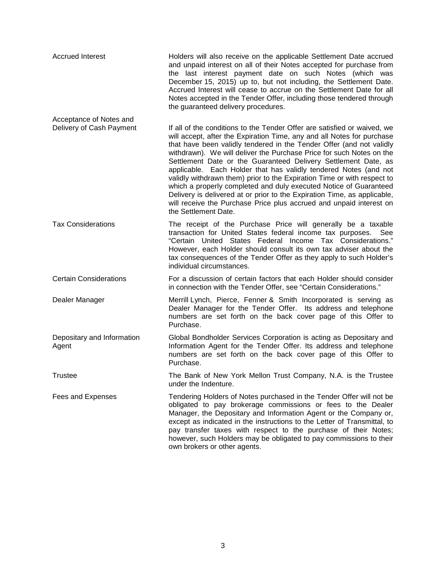| <b>Accrued Interest</b>             | Holders will also receive on the applicable Settlement Date accrued<br>and unpaid interest on all of their Notes accepted for purchase from<br>the last interest payment date on such Notes (which was<br>December 15, 2015) up to, but not including, the Settlement Date.<br>Accrued Interest will cease to accrue on the Settlement Date for all<br>Notes accepted in the Tender Offer, including those tendered through<br>the guaranteed delivery procedures.                                                                                                                                                                                                                                                                                                  |
|-------------------------------------|---------------------------------------------------------------------------------------------------------------------------------------------------------------------------------------------------------------------------------------------------------------------------------------------------------------------------------------------------------------------------------------------------------------------------------------------------------------------------------------------------------------------------------------------------------------------------------------------------------------------------------------------------------------------------------------------------------------------------------------------------------------------|
| Acceptance of Notes and             |                                                                                                                                                                                                                                                                                                                                                                                                                                                                                                                                                                                                                                                                                                                                                                     |
| Delivery of Cash Payment            | If all of the conditions to the Tender Offer are satisfied or waived, we<br>will accept, after the Expiration Time, any and all Notes for purchase<br>that have been validly tendered in the Tender Offer (and not validly<br>withdrawn). We will deliver the Purchase Price for such Notes on the<br>Settlement Date or the Guaranteed Delivery Settlement Date, as<br>applicable. Each Holder that has validly tendered Notes (and not<br>validly withdrawn them) prior to the Expiration Time or with respect to<br>which a properly completed and duly executed Notice of Guaranteed<br>Delivery is delivered at or prior to the Expiration Time, as applicable,<br>will receive the Purchase Price plus accrued and unpaid interest on<br>the Settlement Date. |
| <b>Tax Considerations</b>           | The receipt of the Purchase Price will generally be a taxable<br>transaction for United States federal income tax purposes.<br>See<br>"Certain United States Federal Income Tax Considerations."<br>However, each Holder should consult its own tax adviser about the<br>tax consequences of the Tender Offer as they apply to such Holder's<br>individual circumstances.                                                                                                                                                                                                                                                                                                                                                                                           |
| <b>Certain Considerations</b>       | For a discussion of certain factors that each Holder should consider<br>in connection with the Tender Offer, see "Certain Considerations."                                                                                                                                                                                                                                                                                                                                                                                                                                                                                                                                                                                                                          |
| Dealer Manager                      | Merrill Lynch, Pierce, Fenner & Smith Incorporated is serving as<br>Dealer Manager for the Tender Offer. Its address and telephone<br>numbers are set forth on the back cover page of this Offer to<br>Purchase.                                                                                                                                                                                                                                                                                                                                                                                                                                                                                                                                                    |
| Depositary and Information<br>Agent | Global Bondholder Services Corporation is acting as Depositary and<br>Information Agent for the Tender Offer. Its address and telephone<br>numbers are set forth on the back cover page of this Offer to<br>Purchase.                                                                                                                                                                                                                                                                                                                                                                                                                                                                                                                                               |
| Trustee                             | The Bank of New York Mellon Trust Company, N.A. is the Trustee<br>under the Indenture.                                                                                                                                                                                                                                                                                                                                                                                                                                                                                                                                                                                                                                                                              |
| Fees and Expenses                   | Tendering Holders of Notes purchased in the Tender Offer will not be<br>obligated to pay brokerage commissions or fees to the Dealer<br>Manager, the Depositary and Information Agent or the Company or,<br>except as indicated in the instructions to the Letter of Transmittal, to<br>pay transfer taxes with respect to the purchase of their Notes;<br>however, such Holders may be obligated to pay commissions to their<br>own brokers or other agents.                                                                                                                                                                                                                                                                                                       |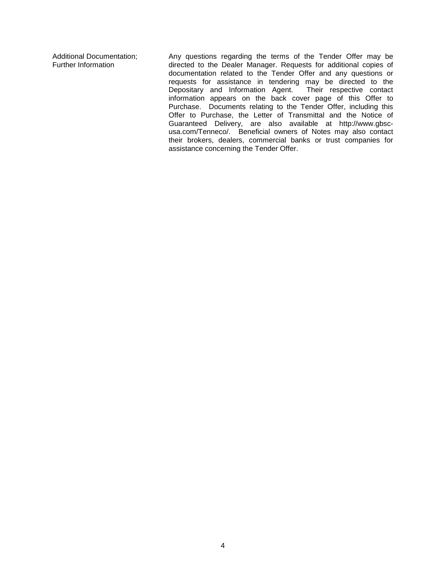Additional Documentation; Further Information

Any questions regarding the terms of the Tender Offer may be directed to the Dealer Manager. Requests for additional copies of documentation related to the Tender Offer and any questions or requests for assistance in tendering may be directed to the Depositary and Information Agent. Their respective contact information appears on the back cover page of this Offer to Purchase. Documents relating to the Tender Offer, including this Offer to Purchase, the Letter of Transmittal and the Notice of Guaranteed Delivery, are also available at http://www.gbscusa.com/Tenneco/. Beneficial owners of Notes may also contact their brokers, dealers, commercial banks or trust companies for assistance concerning the Tender Offer.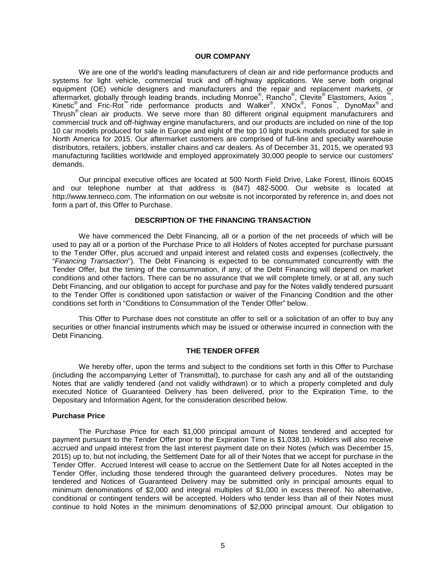## <span id="page-14-0"></span>**OUR COMPANY**

We are one of the world's leading manufacturers of clean air and ride performance products and systems for light vehicle, commercial truck and off-highway applications. We serve both original equipment (OE) vehicle designers and manufacturers and the repair and replacement markets, or aftermarket, globally through leading brands, including Monroe®, Rancho®, Clevite® Elastomers, Axios™, Kinetic<sup>®</sup> and Fric-Rot<sup>™</sup> ride performance products and Walker<sup>®</sup>, XNOx<sup>®</sup>, Fonos™, DynoMax<sup>®</sup> and Thrush® clean air products. We serve more than 80 different original equipment manufacturers and commercial truck and off-highway engine manufacturers, and our products are included on nine of the top 10 car models produced for sale in Europe and eight of the top 10 light truck models produced for sale in North America for 2015. Our aftermarket customers are comprised of full-line and specialty warehouse distributors, retailers, jobbers, installer chains and car dealers. As of December 31, 2015, we operated 93 manufacturing facilities worldwide and employed approximately 30,000 people to service our customers' demands.

Our principal executive offices are located at 500 North Field Drive, Lake Forest, Illinois 60045 and our telephone number at that address is (847) 482-5000. Our website is located at http://www.tenneco.com. The information on our website is not incorporated by reference in, and does not form a part of, this Offer to Purchase.

## <span id="page-14-1"></span>**DESCRIPTION OF THE FINANCING TRANSACTION**

We have commenced the Debt Financing, all or a portion of the net proceeds of which will be used to pay all or a portion of the Purchase Price to all Holders of Notes accepted for purchase pursuant to the Tender Offer, plus accrued and unpaid interest and related costs and expenses (collectively, the "*Financing Transaction*"). The Debt Financing is expected to be consummated concurrently with the Tender Offer, but the timing of the consummation, if any, of the Debt Financing will depend on market conditions and other factors. There can be no assurance that we will complete timely, or at all, any such Debt Financing, and our obligation to accept for purchase and pay for the Notes validly tendered pursuant to the Tender Offer is conditioned upon satisfaction or waiver of the Financing Condition and the other conditions set forth in "Conditions to Consummation of the Tender Offer" below.

This Offer to Purchase does not constitute an offer to sell or a solicitation of an offer to buy any securities or other financial instruments which may be issued or otherwise incurred in connection with the Debt Financing.

#### <span id="page-14-2"></span>**THE TENDER OFFER**

We hereby offer, upon the terms and subject to the conditions set forth in this Offer to Purchase (including the accompanying Letter of Transmittal), to purchase for cash any and all of the outstanding Notes that are validly tendered (and not validly withdrawn) or to which a properly completed and duly executed Notice of Guaranteed Delivery has been delivered, prior to the Expiration Time, to the Depositary and Information Agent, for the consideration described below.

#### **Purchase Price**

The Purchase Price for each \$1,000 principal amount of Notes tendered and accepted for payment pursuant to the Tender Offer prior to the Expiration Time is \$1,038.10. Holders will also receive accrued and unpaid interest from the last interest payment date on their Notes (which was December 15, 2015) up to, but not including, the Settlement Date for all of their Notes that we accept for purchase in the Tender Offer. Accrued Interest will cease to accrue on the Settlement Date for all Notes accepted in the Tender Offer, including those tendered through the guaranteed delivery procedures. Notes may be tendered and Notices of Guaranteed Delivery may be submitted only in principal amounts equal to minimum denominations of \$2,000 and integral multiples of \$1,000 in excess thereof. No alternative, conditional or contingent tenders will be accepted. Holders who tender less than all of their Notes must continue to hold Notes in the minimum denominations of \$2,000 principal amount. Our obligation to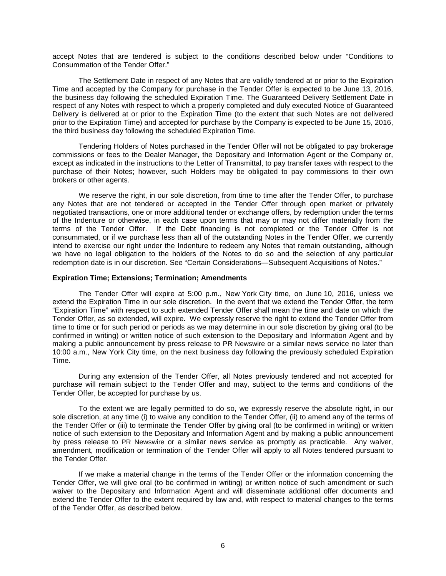accept Notes that are tendered is subject to the conditions described below under "Conditions to Consummation of the Tender Offer."

The Settlement Date in respect of any Notes that are validly tendered at or prior to the Expiration Time and accepted by the Company for purchase in the Tender Offer is expected to be June 13, 2016, the business day following the scheduled Expiration Time. The Guaranteed Delivery Settlement Date in respect of any Notes with respect to which a properly completed and duly executed Notice of Guaranteed Delivery is delivered at or prior to the Expiration Time (to the extent that such Notes are not delivered prior to the Expiration Time) and accepted for purchase by the Company is expected to be June 15, 2016, the third business day following the scheduled Expiration Time.

Tendering Holders of Notes purchased in the Tender Offer will not be obligated to pay brokerage commissions or fees to the Dealer Manager, the Depositary and Information Agent or the Company or, except as indicated in the instructions to the Letter of Transmittal, to pay transfer taxes with respect to the purchase of their Notes; however, such Holders may be obligated to pay commissions to their own brokers or other agents.

We reserve the right, in our sole discretion, from time to time after the Tender Offer, to purchase any Notes that are not tendered or accepted in the Tender Offer through open market or privately negotiated transactions, one or more additional tender or exchange offers, by redemption under the terms of the Indenture or otherwise, in each case upon terms that may or may not differ materially from the terms of the Tender Offer. If the Debt financing is not completed or the Tender Offer is not consummated, or if we purchase less than all of the outstanding Notes in the Tender Offer, we currently intend to exercise our right under the Indenture to redeem any Notes that remain outstanding, although we have no legal obligation to the holders of the Notes to do so and the selection of any particular redemption date is in our discretion. See "Certain Considerations—Subsequent Acquisitions of Notes."

#### **Expiration Time; Extensions; Termination; Amendments**

The Tender Offer will expire at 5:00 p.m., New York City time, on June 10, 2016, unless we extend the Expiration Time in our sole discretion. In the event that we extend the Tender Offer, the term "Expiration Time" with respect to such extended Tender Offer shall mean the time and date on which the Tender Offer, as so extended, will expire. We expressly reserve the right to extend the Tender Offer from time to time or for such period or periods as we may determine in our sole discretion by giving oral (to be confirmed in writing) or written notice of such extension to the Depositary and Information Agent and by making a public announcement by press release to PR Newswire or a similar news service no later than 10:00 a.m., New York City time, on the next business day following the previously scheduled Expiration Time.

During any extension of the Tender Offer, all Notes previously tendered and not accepted for purchase will remain subject to the Tender Offer and may, subject to the terms and conditions of the Tender Offer, be accepted for purchase by us.

To the extent we are legally permitted to do so, we expressly reserve the absolute right, in our sole discretion, at any time (i) to waive any condition to the Tender Offer, (ii) to amend any of the terms of the Tender Offer or (iii) to terminate the Tender Offer by giving oral (to be confirmed in writing) or written notice of such extension to the Depositary and Information Agent and by making a public announcement by press release to PR Newswire or a similar news service as promptly as practicable. Any waiver, amendment, modification or termination of the Tender Offer will apply to all Notes tendered pursuant to the Tender Offer.

If we make a material change in the terms of the Tender Offer or the information concerning the Tender Offer, we will give oral (to be confirmed in writing) or written notice of such amendment or such waiver to the Depositary and Information Agent and will disseminate additional offer documents and extend the Tender Offer to the extent required by law and, with respect to material changes to the terms of the Tender Offer, as described below.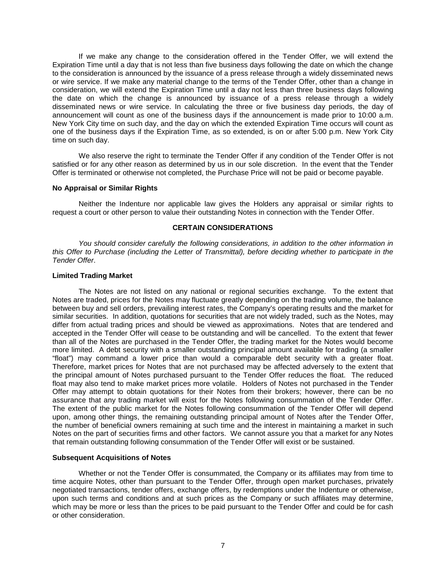If we make any change to the consideration offered in the Tender Offer, we will extend the Expiration Time until a day that is not less than five business days following the date on which the change to the consideration is announced by the issuance of a press release through a widely disseminated news or wire service. If we make any material change to the terms of the Tender Offer, other than a change in consideration, we will extend the Expiration Time until a day not less than three business days following the date on which the change is announced by issuance of a press release through a widely disseminated news or wire service. In calculating the three or five business day periods, the day of announcement will count as one of the business days if the announcement is made prior to 10:00 a.m. New York City time on such day, and the day on which the extended Expiration Time occurs will count as one of the business days if the Expiration Time, as so extended, is on or after 5:00 p.m. New York City time on such day.

We also reserve the right to terminate the Tender Offer if any condition of the Tender Offer is not satisfied or for any other reason as determined by us in our sole discretion. In the event that the Tender Offer is terminated or otherwise not completed, the Purchase Price will not be paid or become payable.

#### **No Appraisal or Similar Rights**

Neither the Indenture nor applicable law gives the Holders any appraisal or similar rights to request a court or other person to value their outstanding Notes in connection with the Tender Offer.

## <span id="page-16-0"></span>**CERTAIN CONSIDERATIONS**

*You should consider carefully the following considerations, in addition to the other information in this Offer to Purchase (including the Letter of Transmittal), before deciding whether to participate in the Tender Offer*.

## **Limited Trading Market**

The Notes are not listed on any national or regional securities exchange. To the extent that Notes are traded, prices for the Notes may fluctuate greatly depending on the trading volume, the balance between buy and sell orders, prevailing interest rates, the Company's operating results and the market for similar securities. In addition, quotations for securities that are not widely traded, such as the Notes, may differ from actual trading prices and should be viewed as approximations. Notes that are tendered and accepted in the Tender Offer will cease to be outstanding and will be cancelled. To the extent that fewer than all of the Notes are purchased in the Tender Offer, the trading market for the Notes would become more limited. A debt security with a smaller outstanding principal amount available for trading (a smaller "float") may command a lower price than would a comparable debt security with a greater float. Therefore, market prices for Notes that are not purchased may be affected adversely to the extent that the principal amount of Notes purchased pursuant to the Tender Offer reduces the float. The reduced float may also tend to make market prices more volatile. Holders of Notes not purchased in the Tender Offer may attempt to obtain quotations for their Notes from their brokers; however, there can be no assurance that any trading market will exist for the Notes following consummation of the Tender Offer. The extent of the public market for the Notes following consummation of the Tender Offer will depend upon, among other things, the remaining outstanding principal amount of Notes after the Tender Offer, the number of beneficial owners remaining at such time and the interest in maintaining a market in such Notes on the part of securities firms and other factors. We cannot assure you that a market for any Notes that remain outstanding following consummation of the Tender Offer will exist or be sustained.

#### **Subsequent Acquisitions of Notes**

Whether or not the Tender Offer is consummated, the Company or its affiliates may from time to time acquire Notes, other than pursuant to the Tender Offer, through open market purchases, privately negotiated transactions, tender offers, exchange offers, by redemptions under the Indenture or otherwise, upon such terms and conditions and at such prices as the Company or such affiliates may determine, which may be more or less than the prices to be paid pursuant to the Tender Offer and could be for cash or other consideration.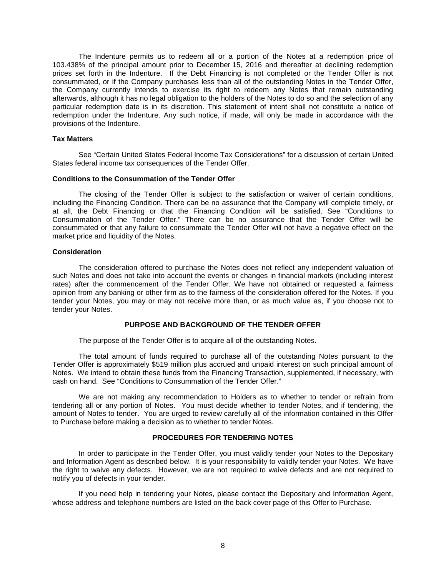The Indenture permits us to redeem all or a portion of the Notes at a redemption price of 103.438% of the principal amount prior to December 15, 2016 and thereafter at declining redemption prices set forth in the Indenture. If the Debt Financing is not completed or the Tender Offer is not consummated, or if the Company purchases less than all of the outstanding Notes in the Tender Offer, the Company currently intends to exercise its right to redeem any Notes that remain outstanding afterwards, although it has no legal obligation to the holders of the Notes to do so and the selection of any particular redemption date is in its discretion. This statement of intent shall not constitute a notice of redemption under the Indenture. Any such notice, if made, will only be made in accordance with the provisions of the Indenture.

#### **Tax Matters**

See "Certain United States Federal Income Tax Considerations" for a discussion of certain United States federal income tax consequences of the Tender Offer.

#### **Conditions to the Consummation of the Tender Offer**

The closing of the Tender Offer is subject to the satisfaction or waiver of certain conditions, including the Financing Condition. There can be no assurance that the Company will complete timely, or at all, the Debt Financing or that the Financing Condition will be satisfied. See "Conditions to Consummation of the Tender Offer." There can be no assurance that the Tender Offer will be consummated or that any failure to consummate the Tender Offer will not have a negative effect on the market price and liquidity of the Notes.

#### **Consideration**

The consideration offered to purchase the Notes does not reflect any independent valuation of such Notes and does not take into account the events or changes in financial markets (including interest rates) after the commencement of the Tender Offer. We have not obtained or requested a fairness opinion from any banking or other firm as to the fairness of the consideration offered for the Notes. If you tender your Notes, you may or may not receive more than, or as much value as, if you choose not to tender your Notes.

## <span id="page-17-0"></span>**PURPOSE AND BACKGROUND OF THE TENDER OFFER**

The purpose of the Tender Offer is to acquire all of the outstanding Notes.

The total amount of funds required to purchase all of the outstanding Notes pursuant to the Tender Offer is approximately \$519 million plus accrued and unpaid interest on such principal amount of Notes. We intend to obtain these funds from the Financing Transaction, supplemented, if necessary, with cash on hand. See "Conditions to Consummation of the Tender Offer."

We are not making any recommendation to Holders as to whether to tender or refrain from tendering all or any portion of Notes. You must decide whether to tender Notes, and if tendering, the amount of Notes to tender. You are urged to review carefully all of the information contained in this Offer to Purchase before making a decision as to whether to tender Notes.

## <span id="page-17-1"></span>**PROCEDURES FOR TENDERING NOTES**

In order to participate in the Tender Offer, you must validly tender your Notes to the Depositary and Information Agent as described below. It is your responsibility to validly tender your Notes. We have the right to waive any defects. However, we are not required to waive defects and are not required to notify you of defects in your tender.

If you need help in tendering your Notes, please contact the Depositary and Information Agent, whose address and telephone numbers are listed on the back cover page of this Offer to Purchase.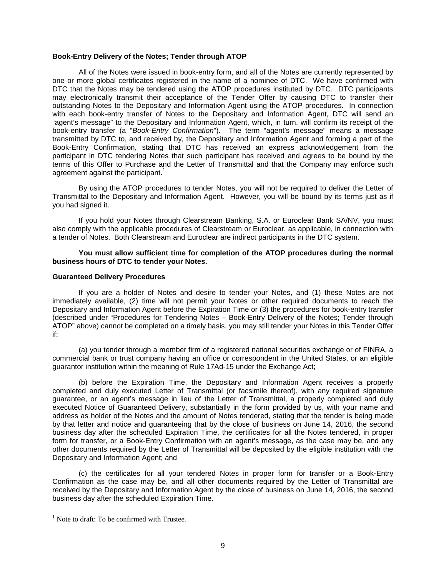## **Book-Entry Delivery of the Notes; Tender through ATOP**

All of the Notes were issued in book-entry form, and all of the Notes are currently represented by one or more global certificates registered in the name of a nominee of DTC. We have confirmed with DTC that the Notes may be tendered using the ATOP procedures instituted by DTC. DTC participants may electronically transmit their acceptance of the Tender Offer by causing DTC to transfer their outstanding Notes to the Depositary and Information Agent using the ATOP procedures. In connection with each book-entry transfer of Notes to the Depositary and Information Agent, DTC will send an "agent's message" to the Depositary and Information Agent, which, in turn, will confirm its receipt of the book-entry transfer (a "*Book-Entry Confirmation*"). The term "agent's message" means a message transmitted by DTC to, and received by, the Depositary and Information Agent and forming a part of the Book-Entry Confirmation, stating that DTC has received an express acknowledgement from the participant in DTC tendering Notes that such participant has received and agrees to be bound by the terms of this Offer to Purchase and the Letter of Transmittal and that the Company may enforce such agreement against the participant.<sup>[1](#page-18-0)</sup>

By using the ATOP procedures to tender Notes, you will not be required to deliver the Letter of Transmittal to the Depositary and Information Agent. However, you will be bound by its terms just as if you had signed it.

If you hold your Notes through Clearstream Banking, S.A. or Euroclear Bank SA/NV, you must also comply with the applicable procedures of Clearstream or Euroclear, as applicable, in connection with a tender of Notes. Both Clearstream and Euroclear are indirect participants in the DTC system.

## **You must allow sufficient time for completion of the ATOP procedures during the normal business hours of DTC to tender your Notes.**

#### **Guaranteed Delivery Procedures**

If you are a holder of Notes and desire to tender your Notes, and (1) these Notes are not immediately available, (2) time will not permit your Notes or other required documents to reach the Depositary and Information Agent before the Expiration Time or (3) the procedures for book-entry transfer (described under "Procedures for Tendering Notes – Book-Entry Delivery of the Notes; Tender through ATOP" above) cannot be completed on a timely basis, you may still tender your Notes in this Tender Offer if:

(a) you tender through a member firm of a registered national securities exchange or of FINRA, a commercial bank or trust company having an office or correspondent in the United States, or an eligible guarantor institution within the meaning of Rule 17Ad-15 under the Exchange Act;

(b) before the Expiration Time, the Depositary and Information Agent receives a properly completed and duly executed Letter of Transmittal (or facsimile thereof), with any required signature guarantee, or an agent's message in lieu of the Letter of Transmittal, a properly completed and duly executed Notice of Guaranteed Delivery, substantially in the form provided by us, with your name and address as holder of the Notes and the amount of Notes tendered, stating that the tender is being made by that letter and notice and guaranteeing that by the close of business on June 14, 2016, the second business day after the scheduled Expiration Time, the certificates for all the Notes tendered, in proper form for transfer, or a Book-Entry Confirmation with an agent's message, as the case may be, and any other documents required by the Letter of Transmittal will be deposited by the eligible institution with the Depositary and Information Agent; and

(c) the certificates for all your tendered Notes in proper form for transfer or a Book-Entry Confirmation as the case may be, and all other documents required by the Letter of Transmittal are received by the Depositary and Information Agent by the close of business on June 14, 2016, the second business day after the scheduled Expiration Time.

<span id="page-18-0"></span> $<sup>1</sup>$  Note to draft: To be confirmed with Trustee.</sup>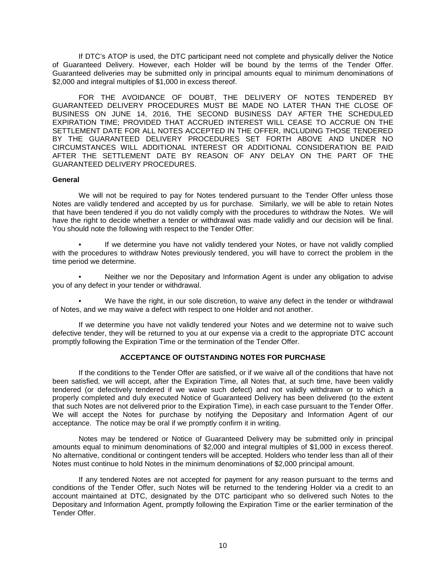If DTC's ATOP is used, the DTC participant need not complete and physically deliver the Notice of Guaranteed Delivery. However, each Holder will be bound by the terms of the Tender Offer. Guaranteed deliveries may be submitted only in principal amounts equal to minimum denominations of \$2,000 and integral multiples of \$1,000 in excess thereof.

FOR THE AVOIDANCE OF DOUBT, THE DELIVERY OF NOTES TENDERED BY GUARANTEED DELIVERY PROCEDURES MUST BE MADE NO LATER THAN THE CLOSE OF BUSINESS ON JUNE 14, 2016, THE SECOND BUSINESS DAY AFTER THE SCHEDULED EXPIRATION TIME; PROVIDED THAT ACCRUED INTEREST WILL CEASE TO ACCRUE ON THE SETTLEMENT DATE FOR ALL NOTES ACCEPTED IN THE OFFER, INCLUDING THOSE TENDERED BY THE GUARANTEED DELIVERY PROCEDURES SET FORTH ABOVE AND UNDER NO CIRCUMSTANCES WILL ADDITIONAL INTEREST OR ADDITIONAL CONSIDERATION BE PAID AFTER THE SETTLEMENT DATE BY REASON OF ANY DELAY ON THE PART OF THE GUARANTEED DELIVERY PROCEDURES.

#### **General**

We will not be required to pay for Notes tendered pursuant to the Tender Offer unless those Notes are validly tendered and accepted by us for purchase. Similarly, we will be able to retain Notes that have been tendered if you do not validly comply with the procedures to withdraw the Notes. We will have the right to decide whether a tender or withdrawal was made validly and our decision will be final. You should note the following with respect to the Tender Offer:

If we determine you have not validly tendered your Notes, or have not validly complied with the procedures to withdraw Notes previously tendered, you will have to correct the problem in the time period we determine.

• Neither we nor the Depositary and Information Agent is under any obligation to advise you of any defect in your tender or withdrawal.

We have the right, in our sole discretion, to waive any defect in the tender or withdrawal of Notes, and we may waive a defect with respect to one Holder and not another.

If we determine you have not validly tendered your Notes and we determine not to waive such defective tender, they will be returned to you at our expense via a credit to the appropriate DTC account promptly following the Expiration Time or the termination of the Tender Offer.

## <span id="page-19-0"></span>**ACCEPTANCE OF OUTSTANDING NOTES FOR PURCHASE**

If the conditions to the Tender Offer are satisfied, or if we waive all of the conditions that have not been satisfied, we will accept, after the Expiration Time, all Notes that, at such time, have been validly tendered (or defectively tendered if we waive such defect) and not validly withdrawn or to which a properly completed and duly executed Notice of Guaranteed Delivery has been delivered (to the extent that such Notes are not delivered prior to the Expiration Time), in each case pursuant to the Tender Offer. We will accept the Notes for purchase by notifying the Depositary and Information Agent of our acceptance. The notice may be oral if we promptly confirm it in writing.

Notes may be tendered or Notice of Guaranteed Delivery may be submitted only in principal amounts equal to minimum denominations of \$2,000 and integral multiples of \$1,000 in excess thereof. No alternative, conditional or contingent tenders will be accepted. Holders who tender less than all of their Notes must continue to hold Notes in the minimum denominations of \$2,000 principal amount.

If any tendered Notes are not accepted for payment for any reason pursuant to the terms and conditions of the Tender Offer, such Notes will be returned to the tendering Holder via a credit to an account maintained at DTC, designated by the DTC participant who so delivered such Notes to the Depositary and Information Agent, promptly following the Expiration Time or the earlier termination of the Tender Offer.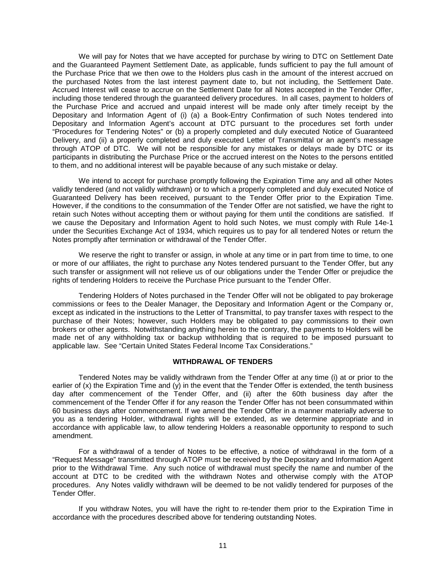We will pay for Notes that we have accepted for purchase by wiring to DTC on Settlement Date and the Guaranteed Payment Settlement Date, as applicable, funds sufficient to pay the full amount of the Purchase Price that we then owe to the Holders plus cash in the amount of the interest accrued on the purchased Notes from the last interest payment date to, but not including, the Settlement Date. Accrued Interest will cease to accrue on the Settlement Date for all Notes accepted in the Tender Offer, including those tendered through the guaranteed delivery procedures. In all cases, payment to holders of the Purchase Price and accrued and unpaid interest will be made only after timely receipt by the Depositary and Information Agent of (i) (a) a Book-Entry Confirmation of such Notes tendered into Depositary and Information Agent's account at DTC pursuant to the procedures set forth under "Procedures for Tendering Notes" or (b) a properly completed and duly executed Notice of Guaranteed Delivery, and (ii) a properly completed and duly executed Letter of Transmittal or an agent's message through ATOP of DTC. We will not be responsible for any mistakes or delays made by DTC or its participants in distributing the Purchase Price or the accrued interest on the Notes to the persons entitled to them, and no additional interest will be payable because of any such mistake or delay.

We intend to accept for purchase promptly following the Expiration Time any and all other Notes validly tendered (and not validly withdrawn) or to which a properly completed and duly executed Notice of Guaranteed Delivery has been received, pursuant to the Tender Offer prior to the Expiration Time. However, if the conditions to the consummation of the Tender Offer are not satisfied, we have the right to retain such Notes without accepting them or without paying for them until the conditions are satisfied. If we cause the Depositary and Information Agent to hold such Notes, we must comply with Rule 14e-1 under the Securities Exchange Act of 1934, which requires us to pay for all tendered Notes or return the Notes promptly after termination or withdrawal of the Tender Offer.

We reserve the right to transfer or assign, in whole at any time or in part from time to time, to one or more of our affiliates, the right to purchase any Notes tendered pursuant to the Tender Offer, but any such transfer or assignment will not relieve us of our obligations under the Tender Offer or prejudice the rights of tendering Holders to receive the Purchase Price pursuant to the Tender Offer.

Tendering Holders of Notes purchased in the Tender Offer will not be obligated to pay brokerage commissions or fees to the Dealer Manager, the Depositary and Information Agent or the Company or, except as indicated in the instructions to the Letter of Transmittal, to pay transfer taxes with respect to the purchase of their Notes; however, such Holders may be obligated to pay commissions to their own brokers or other agents. Notwithstanding anything herein to the contrary, the payments to Holders will be made net of any withholding tax or backup withholding that is required to be imposed pursuant to applicable law. See "Certain United States Federal Income Tax Considerations."

## <span id="page-20-0"></span>**WITHDRAWAL OF TENDERS**

Tendered Notes may be validly withdrawn from the Tender Offer at any time (i) at or prior to the earlier of  $(x)$  the Expiration Time and  $(y)$  in the event that the Tender Offer is extended, the tenth business day after commencement of the Tender Offer, and (ii) after the 60th business day after the commencement of the Tender Offer if for any reason the Tender Offer has not been consummated within 60 business days after commencement. If we amend the Tender Offer in a manner materially adverse to you as a tendering Holder, withdrawal rights will be extended, as we determine appropriate and in accordance with applicable law, to allow tendering Holders a reasonable opportunity to respond to such amendment.

For a withdrawal of a tender of Notes to be effective, a notice of withdrawal in the form of a "Request Message" transmitted through ATOP must be received by the Depositary and Information Agent prior to the Withdrawal Time. Any such notice of withdrawal must specify the name and number of the account at DTC to be credited with the withdrawn Notes and otherwise comply with the ATOP procedures. Any Notes validly withdrawn will be deemed to be not validly tendered for purposes of the Tender Offer.

If you withdraw Notes, you will have the right to re-tender them prior to the Expiration Time in accordance with the procedures described above for tendering outstanding Notes.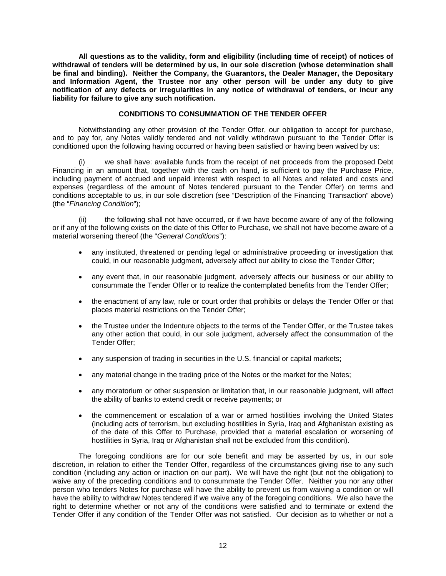**All questions as to the validity, form and eligibility (including time of receipt) of notices of withdrawal of tenders will be determined by us, in our sole discretion (whose determination shall be final and binding). Neither the Company, the Guarantors, the Dealer Manager, the Depositary and Information Agent, the Trustee nor any other person will be under any duty to give notification of any defects or irregularities in any notice of withdrawal of tenders, or incur any liability for failure to give any such notification.**

## <span id="page-21-0"></span>**CONDITIONS TO CONSUMMATION OF THE TENDER OFFER**

Notwithstanding any other provision of the Tender Offer, our obligation to accept for purchase, and to pay for, any Notes validly tendered and not validly withdrawn pursuant to the Tender Offer is conditioned upon the following having occurred or having been satisfied or having been waived by us:

(i) we shall have: available funds from the receipt of net proceeds from the proposed Debt Financing in an amount that, together with the cash on hand, is sufficient to pay the Purchase Price, including payment of accrued and unpaid interest with respect to all Notes and related and costs and expenses (regardless of the amount of Notes tendered pursuant to the Tender Offer) on terms and conditions acceptable to us, in our sole discretion (see "Description of the Financing Transaction" above) (the "*Financing Condition*");

(ii) the following shall not have occurred, or if we have become aware of any of the following or if any of the following exists on the date of this Offer to Purchase, we shall not have become aware of a material worsening thereof (the "*General Conditions*"):

- any instituted, threatened or pending legal or administrative proceeding or investigation that could, in our reasonable judgment, adversely affect our ability to close the Tender Offer;
- any event that, in our reasonable judgment, adversely affects our business or our ability to consummate the Tender Offer or to realize the contemplated benefits from the Tender Offer;
- the enactment of any law, rule or court order that prohibits or delays the Tender Offer or that places material restrictions on the Tender Offer;
- the Trustee under the Indenture objects to the terms of the Tender Offer, or the Trustee takes any other action that could, in our sole judgment, adversely affect the consummation of the Tender Offer;
- any suspension of trading in securities in the U.S. financial or capital markets;
- any material change in the trading price of the Notes or the market for the Notes;
- any moratorium or other suspension or limitation that, in our reasonable judgment, will affect the ability of banks to extend credit or receive payments; or
- the commencement or escalation of a war or armed hostilities involving the United States (including acts of terrorism, but excluding hostilities in Syria, Iraq and Afghanistan existing as of the date of this Offer to Purchase, provided that a material escalation or worsening of hostilities in Syria, Iraq or Afghanistan shall not be excluded from this condition).

The foregoing conditions are for our sole benefit and may be asserted by us, in our sole discretion, in relation to either the Tender Offer, regardless of the circumstances giving rise to any such condition (including any action or inaction on our part). We will have the right (but not the obligation) to waive any of the preceding conditions and to consummate the Tender Offer. Neither you nor any other person who tenders Notes for purchase will have the ability to prevent us from waiving a condition or will have the ability to withdraw Notes tendered if we waive any of the foregoing conditions. We also have the right to determine whether or not any of the conditions were satisfied and to terminate or extend the Tender Offer if any condition of the Tender Offer was not satisfied. Our decision as to whether or not a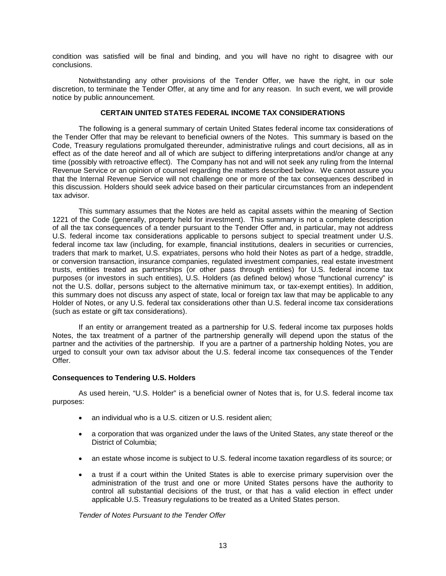condition was satisfied will be final and binding, and you will have no right to disagree with our conclusions.

Notwithstanding any other provisions of the Tender Offer, we have the right, in our sole discretion, to terminate the Tender Offer, at any time and for any reason. In such event, we will provide notice by public announcement.

## <span id="page-22-0"></span>**CERTAIN UNITED STATES FEDERAL INCOME TAX CONSIDERATIONS**

The following is a general summary of certain United States federal income tax considerations of the Tender Offer that may be relevant to beneficial owners of the Notes. This summary is based on the Code, Treasury regulations promulgated thereunder, administrative rulings and court decisions, all as in effect as of the date hereof and all of which are subject to differing interpretations and/or change at any time (possibly with retroactive effect). The Company has not and will not seek any ruling from the Internal Revenue Service or an opinion of counsel regarding the matters described below. We cannot assure you that the Internal Revenue Service will not challenge one or more of the tax consequences described in this discussion. Holders should seek advice based on their particular circumstances from an independent tax advisor.

This summary assumes that the Notes are held as capital assets within the meaning of Section 1221 of the Code (generally, property held for investment). This summary is not a complete description of all the tax consequences of a tender pursuant to the Tender Offer and, in particular, may not address U.S. federal income tax considerations applicable to persons subject to special treatment under U.S. federal income tax law (including, for example, financial institutions, dealers in securities or currencies, traders that mark to market, U.S. expatriates, persons who hold their Notes as part of a hedge, straddle, or conversion transaction, insurance companies, regulated investment companies, real estate investment trusts, entities treated as partnerships (or other pass through entities) for U.S. federal income tax purposes (or investors in such entities), U.S. Holders (as defined below) whose "functional currency" is not the U.S. dollar, persons subject to the alternative minimum tax, or tax-exempt entities). In addition, this summary does not discuss any aspect of state, local or foreign tax law that may be applicable to any Holder of Notes, or any U.S. federal tax considerations other than U.S. federal income tax considerations (such as estate or gift tax considerations).

If an entity or arrangement treated as a partnership for U.S. federal income tax purposes holds Notes, the tax treatment of a partner of the partnership generally will depend upon the status of the partner and the activities of the partnership. If you are a partner of a partnership holding Notes, you are urged to consult your own tax advisor about the U.S. federal income tax consequences of the Tender Offer.

#### **Consequences to Tendering U.S. Holders**

As used herein, "U.S. Holder" is a beneficial owner of Notes that is, for U.S. federal income tax purposes:

- an individual who is a U.S. citizen or U.S. resident alien;
- a corporation that was organized under the laws of the United States, any state thereof or the District of Columbia;
- an estate whose income is subject to U.S. federal income taxation regardless of its source; or
- a trust if a court within the United States is able to exercise primary supervision over the administration of the trust and one or more United States persons have the authority to control all substantial decisions of the trust, or that has a valid election in effect under applicable U.S. Treasury regulations to be treated as a United States person.

*Tender of Notes Pursuant to the Tender Offer*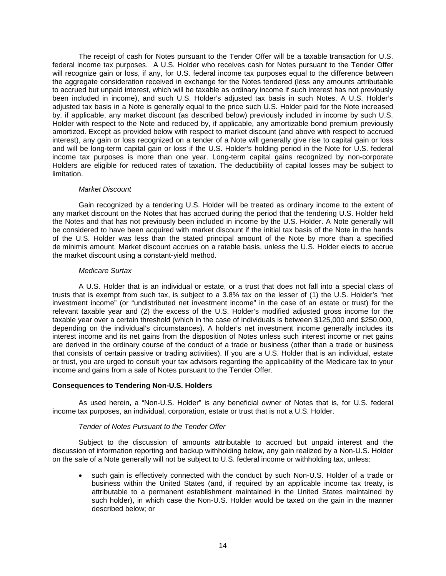The receipt of cash for Notes pursuant to the Tender Offer will be a taxable transaction for U.S. federal income tax purposes. A U.S. Holder who receives cash for Notes pursuant to the Tender Offer will recognize gain or loss, if any, for U.S. federal income tax purposes equal to the difference between the aggregate consideration received in exchange for the Notes tendered (less any amounts attributable to accrued but unpaid interest, which will be taxable as ordinary income if such interest has not previously been included in income), and such U.S. Holder's adjusted tax basis in such Notes. A U.S. Holder's adjusted tax basis in a Note is generally equal to the price such U.S. Holder paid for the Note increased by, if applicable, any market discount (as described below) previously included in income by such U.S. Holder with respect to the Note and reduced by, if applicable, any amortizable bond premium previously amortized. Except as provided below with respect to market discount (and above with respect to accrued interest), any gain or loss recognized on a tender of a Note will generally give rise to capital gain or loss and will be long-term capital gain or loss if the U.S. Holder's holding period in the Note for U.S. federal income tax purposes is more than one year. Long-term capital gains recognized by non-corporate Holders are eligible for reduced rates of taxation. The deductibility of capital losses may be subject to limitation.

#### *Market Discount*

Gain recognized by a tendering U.S. Holder will be treated as ordinary income to the extent of any market discount on the Notes that has accrued during the period that the tendering U.S. Holder held the Notes and that has not previously been included in income by the U.S. Holder. A Note generally will be considered to have been acquired with market discount if the initial tax basis of the Note in the hands of the U.S. Holder was less than the stated principal amount of the Note by more than a specified de minimis amount. Market discount accrues on a ratable basis, unless the U.S. Holder elects to accrue the market discount using a constant-yield method.

#### *Medicare Surtax*

A U.S. Holder that is an individual or estate, or a trust that does not fall into a special class of trusts that is exempt from such tax, is subject to a 3.8% tax on the lesser of (1) the U.S. Holder's "net investment income" (or "undistributed net investment income" in the case of an estate or trust) for the relevant taxable year and (2) the excess of the U.S. Holder's modified adjusted gross income for the taxable year over a certain threshold (which in the case of individuals is between \$125,000 and \$250,000, depending on the individual's circumstances). A holder's net investment income generally includes its interest income and its net gains from the disposition of Notes unless such interest income or net gains are derived in the ordinary course of the conduct of a trade or business (other than a trade or business that consists of certain passive or trading activities). If you are a U.S. Holder that is an individual, estate or trust, you are urged to consult your tax advisors regarding the applicability of the Medicare tax to your income and gains from a sale of Notes pursuant to the Tender Offer.

## **Consequences to Tendering Non-U.S. Holders**

As used herein, a "Non-U.S. Holder" is any beneficial owner of Notes that is, for U.S. federal income tax purposes, an individual, corporation, estate or trust that is not a U.S. Holder.

## *Tender of Notes Pursuant to the Tender Offer*

Subject to the discussion of amounts attributable to accrued but unpaid interest and the discussion of information reporting and backup withholding below, any gain realized by a Non-U.S. Holder on the sale of a Note generally will not be subject to U.S. federal income or withholding tax, unless:

• such gain is effectively connected with the conduct by such Non-U.S. Holder of a trade or business within the United States (and, if required by an applicable income tax treaty, is attributable to a permanent establishment maintained in the United States maintained by such holder), in which case the Non-U.S. Holder would be taxed on the gain in the manner described below; or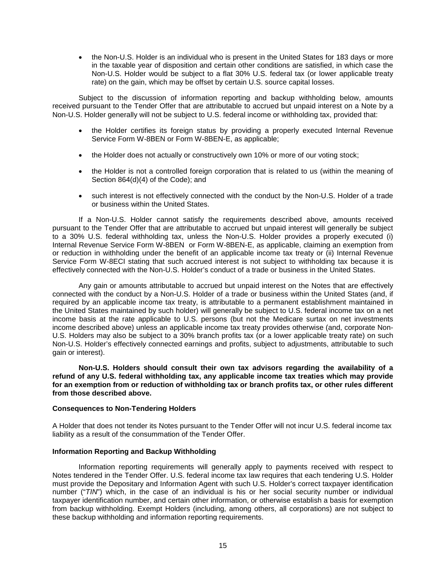• the Non-U.S. Holder is an individual who is present in the United States for 183 days or more in the taxable year of disposition and certain other conditions are satisfied, in which case the Non-U.S. Holder would be subject to a flat 30% U.S. federal tax (or lower applicable treaty rate) on the gain, which may be offset by certain U.S. source capital losses.

Subject to the discussion of information reporting and backup withholding below, amounts received pursuant to the Tender Offer that are attributable to accrued but unpaid interest on a Note by a Non-U.S. Holder generally will not be subject to U.S. federal income or withholding tax, provided that:

- the Holder certifies its foreign status by providing a properly executed Internal Revenue Service Form W-8BEN or Form W-8BEN-E, as applicable;
- the Holder does not actually or constructively own 10% or more of our voting stock;
- the Holder is not a controlled foreign corporation that is related to us (within the meaning of Section 864(d)(4) of the Code); and
- such interest is not effectively connected with the conduct by the Non-U.S. Holder of a trade or business within the United States.

If a Non-U.S. Holder cannot satisfy the requirements described above, amounts received pursuant to the Tender Offer that are attributable to accrued but unpaid interest will generally be subject to a 30% U.S. federal withholding tax, unless the Non-U.S. Holder provides a properly executed (i) Internal Revenue Service Form W-8BEN or Form W-8BEN-E, as applicable, claiming an exemption from or reduction in withholding under the benefit of an applicable income tax treaty or (ii) Internal Revenue Service Form W-8ECI stating that such accrued interest is not subject to withholding tax because it is effectively connected with the Non-U.S. Holder's conduct of a trade or business in the United States.

Any gain or amounts attributable to accrued but unpaid interest on the Notes that are effectively connected with the conduct by a Non-U.S. Holder of a trade or business within the United States (and, if required by an applicable income tax treaty, is attributable to a permanent establishment maintained in the United States maintained by such holder) will generally be subject to U.S. federal income tax on a net income basis at the rate applicable to U.S. persons (but not the Medicare surtax on net investments income described above) unless an applicable income tax treaty provides otherwise (and, corporate Non-U.S. Holders may also be subject to a 30% branch profits tax (or a lower applicable treaty rate) on such Non-U.S. Holder's effectively connected earnings and profits, subject to adjustments, attributable to such gain or interest).

**Non-U.S. Holders should consult their own tax advisors regarding the availability of a refund of any U.S. federal withholding tax, any applicable income tax treaties which may provide for an exemption from or reduction of withholding tax or branch profits tax, or other rules different from those described above.**

## **Consequences to Non-Tendering Holders**

A Holder that does not tender its Notes pursuant to the Tender Offer will not incur U.S. federal income tax liability as a result of the consummation of the Tender Offer.

## **Information Reporting and Backup Withholding**

Information reporting requirements will generally apply to payments received with respect to Notes tendered in the Tender Offer. U.S. federal income tax law requires that each tendering U.S. Holder must provide the Depositary and Information Agent with such U.S. Holder's correct taxpayer identification number ("*TIN*") which, in the case of an individual is his or her social security number or individual taxpayer identification number, and certain other information, or otherwise establish a basis for exemption from backup withholding. Exempt Holders (including, among others, all corporations) are not subject to these backup withholding and information reporting requirements.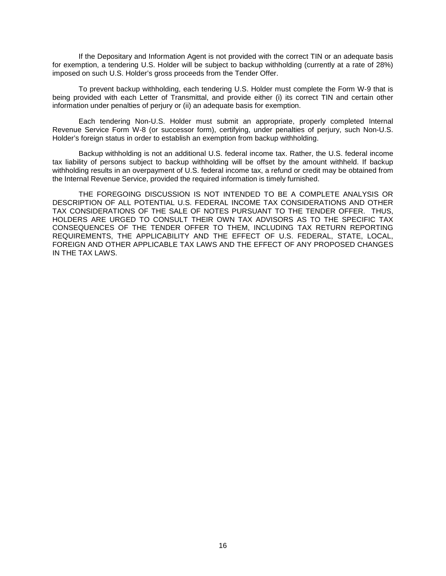If the Depositary and Information Agent is not provided with the correct TIN or an adequate basis for exemption, a tendering U.S. Holder will be subject to backup withholding (currently at a rate of 28%) imposed on such U.S. Holder's gross proceeds from the Tender Offer.

To prevent backup withholding, each tendering U.S. Holder must complete the Form W-9 that is being provided with each Letter of Transmittal, and provide either (i) its correct TIN and certain other information under penalties of perjury or (ii) an adequate basis for exemption.

Each tendering Non-U.S. Holder must submit an appropriate, properly completed Internal Revenue Service Form W-8 (or successor form), certifying, under penalties of perjury, such Non-U.S. Holder's foreign status in order to establish an exemption from backup withholding.

Backup withholding is not an additional U.S. federal income tax. Rather, the U.S. federal income tax liability of persons subject to backup withholding will be offset by the amount withheld. If backup withholding results in an overpayment of U.S. federal income tax, a refund or credit may be obtained from the Internal Revenue Service, provided the required information is timely furnished.

THE FOREGOING DISCUSSION IS NOT INTENDED TO BE A COMPLETE ANALYSIS OR DESCRIPTION OF ALL POTENTIAL U.S. FEDERAL INCOME TAX CONSIDERATIONS AND OTHER TAX CONSIDERATIONS OF THE SALE OF NOTES PURSUANT TO THE TENDER OFFER. THUS, HOLDERS ARE URGED TO CONSULT THEIR OWN TAX ADVISORS AS TO THE SPECIFIC TAX CONSEQUENCES OF THE TENDER OFFER TO THEM, INCLUDING TAX RETURN REPORTING REQUIREMENTS, THE APPLICABILITY AND THE EFFECT OF U.S. FEDERAL, STATE, LOCAL, FOREIGN AND OTHER APPLICABLE TAX LAWS AND THE EFFECT OF ANY PROPOSED CHANGES IN THE TAX LAWS.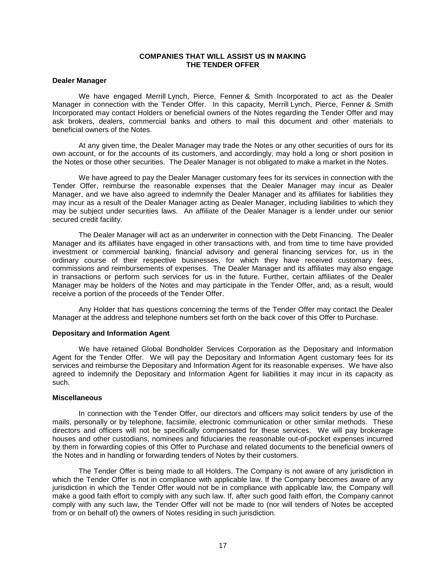## <span id="page-26-0"></span>**COMPANIES THAT WILL ASSIST US IN MAKING THE TENDER OFFER**

#### **Dealer Manager**

We have engaged Merrill Lynch, Pierce, Fenner & Smith Incorporated to act as the Dealer Manager in connection with the Tender Offer. In this capacity, Merrill Lynch, Pierce, Fenner & Smith Incorporated may contact Holders or beneficial owners of the Notes regarding the Tender Offer and may ask brokers, dealers, commercial banks and others to mail this document and other materials to beneficial owners of the Notes.

At any given time, the Dealer Manager may trade the Notes or any other securities of ours for its own account, or for the accounts of its customers, and accordingly, may hold a long or short position in the Notes or those other securities. The Dealer Manager is not obligated to make a market in the Notes.

We have agreed to pay the Dealer Manager customary fees for its services in connection with the Tender Offer, reimburse the reasonable expenses that the Dealer Manager may incur as Dealer Manager, and we have also agreed to indemnify the Dealer Manager and its affiliates for liabilities they may incur as a result of the Dealer Manager acting as Dealer Manager, including liabilities to which they may be subject under securities laws. An affiliate of the Dealer Manager is a lender under our senior secured credit facility.

The Dealer Manager will act as an underwriter in connection with the Debt Financing. The Dealer Manager and its affiliates have engaged in other transactions with, and from time to time have provided investment or commercial banking, financial advisory and general financing services for, us in the ordinary course of their respective businesses, for which they have received customary fees, commissions and reimbursements of expenses. The Dealer Manager and its affiliates may also engage in transactions or perform such services for us in the future. Further, certain affiliates of the Dealer Manager may be holders of the Notes and may participate in the Tender Offer, and, as a result, would receive a portion of the proceeds of the Tender Offer.

Any Holder that has questions concerning the terms of the Tender Offer may contact the Dealer Manager at the address and telephone numbers set forth on the back cover of this Offer to Purchase.

#### **Depositary and Information Agent**

We have retained Global Bondholder Services Corporation as the Depositary and Information Agent for the Tender Offer. We will pay the Depositary and Information Agent customary fees for its services and reimburse the Depositary and Information Agent for its reasonable expenses. We have also agreed to indemnify the Depositary and Information Agent for liabilities it may incur in its capacity as such.

#### **Miscellaneous**

In connection with the Tender Offer, our directors and officers may solicit tenders by use of the mails, personally or by telephone, facsimile, electronic communication or other similar methods. These directors and officers will not be specifically compensated for these services. We will pay brokerage houses and other custodians, nominees and fiduciaries the reasonable out-of-pocket expenses incurred by them in forwarding copies of this Offer to Purchase and related documents to the beneficial owners of the Notes and in handling or forwarding tenders of Notes by their customers.

The Tender Offer is being made to all Holders. The Company is not aware of any jurisdiction in which the Tender Offer is not in compliance with applicable law. If the Company becomes aware of any jurisdiction in which the Tender Offer would not be in compliance with applicable law, the Company will make a good faith effort to comply with any such law. If, after such good faith effort, the Company cannot comply with any such law, the Tender Offer will not be made to (nor will tenders of Notes be accepted from or on behalf of) the owners of Notes residing in such jurisdiction.